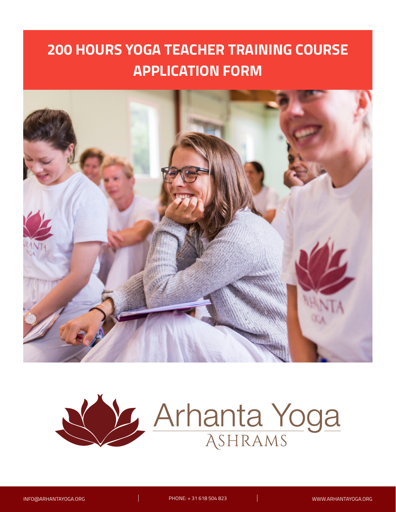

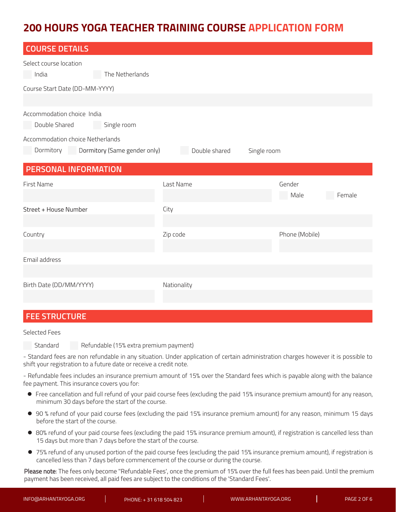| <b>COURSE DETAILS</b>                       |                              |               |             |                |        |  |  |
|---------------------------------------------|------------------------------|---------------|-------------|----------------|--------|--|--|
| Select course location                      |                              |               |             |                |        |  |  |
| India                                       | The Netherlands              |               |             |                |        |  |  |
| Course Start Date (DD-MM-YYYY)              |                              |               |             |                |        |  |  |
|                                             |                              |               |             |                |        |  |  |
| Accommodation choice India<br>Double Shared | Single room                  |               |             |                |        |  |  |
| Accommodation choice Netherlands            |                              |               |             |                |        |  |  |
| Dormitory                                   | Dormitory (Same gender only) | Double shared | Single room |                |        |  |  |
| PERSONAL INFORMATION                        |                              |               |             |                |        |  |  |
| First Name                                  |                              | Last Name     |             | Gender         |        |  |  |
|                                             |                              |               |             |                |        |  |  |
|                                             |                              |               |             | Male           | Female |  |  |
| Street + House Number                       |                              | City          |             |                |        |  |  |
|                                             |                              |               |             |                |        |  |  |
| Country                                     |                              | Zip code      |             | Phone (Mobile) |        |  |  |
|                                             |                              |               |             |                |        |  |  |
| Email address                               |                              |               |             |                |        |  |  |
|                                             |                              |               |             |                |        |  |  |
| Birth Date (DD/MM/YYYY)                     |                              | Nationality   |             |                |        |  |  |

# **FEE STRUCTURE**

Selected Fees

Standard Refundable (15% extra premium payment)

- Standard fees are non refundable in any situation. Under application of certain administration charges however it is possible to shift your registration to a future date or receive a credit note.

- Refundable fees includes an insurance premium amount of 15% over the Standard fees which is payable along with the balance fee payment. This insurance covers you for:

- z Free cancellation and full refund of your paid course fees (excluding the paid 15% insurance premium amount) for any reason, minimum 30 days before the start of the course.
- 90 % refund of your paid course fees (excluding the paid 15% insurance premium amount) for any reason, minimum 15 days before the start of the course.
- 80% refund of your paid course fees (excluding the paid 15% insurance premium amount), if registration is cancelled less than 15 days but more than 7 days before the start of the course.
- 75% refund of any unused portion of the paid course fees (excluding the paid 15% insurance premium amount), if registration is cancelled less than 7 days before commencement of the course or during the course.

Please note: The fees only become "Refundable Fees', once the premium of 15% over the full fees has been paid. Until the premium payment has been received, all paid fees are subject to the conditions of the 'Standard Fees'.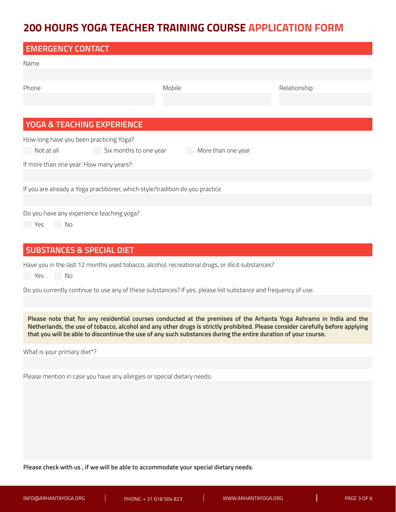| <b>EMERGENCY CONTACT</b>                                                      |                        |                    |              |  |  |  |
|-------------------------------------------------------------------------------|------------------------|--------------------|--------------|--|--|--|
| Name                                                                          |                        |                    |              |  |  |  |
|                                                                               |                        |                    |              |  |  |  |
| Phone                                                                         | Mobile                 |                    | Relationship |  |  |  |
|                                                                               |                        |                    |              |  |  |  |
|                                                                               |                        |                    |              |  |  |  |
| <b>YOGA &amp; TEACHING EXPERIENCE</b>                                         |                        |                    |              |  |  |  |
| How long have you been practicing Yoga?                                       |                        |                    |              |  |  |  |
| Not at all                                                                    | Six months to one year | More than one year |              |  |  |  |
| If more than one year: How many years?                                        |                        |                    |              |  |  |  |
|                                                                               |                        |                    |              |  |  |  |
| If you are already a Yoga practitioner, which style/tradition do you practice |                        |                    |              |  |  |  |
|                                                                               |                        |                    |              |  |  |  |
| Do you have any experience teaching yoga?                                     |                        |                    |              |  |  |  |
| No<br>Yes                                                                     |                        |                    |              |  |  |  |

# **SUBSTANCES & SPECIAL DIET**

Have you in the last 12 months used tobacco, alcohol, recreational drugs, or illicit substances?

Yes No

Do you currently continue to use any of these substances? If yes, please list substance and frequency of use:

**Please note that for any residential courses conducted at the premises of the Arhanta Yoga Ashrams in India and the Netherlands, the use of tobacco, alcohol and any other drugs is strictly prohibited. Please consider carefully before applying that you will be able to discontinue the use of any such substances during the entire duration of your course.**

What is your primary diet\*?

Please mention in case you have any allergies or special dietary needs:

**Please check with us , if we will be able to accommodate your special dietary needs.**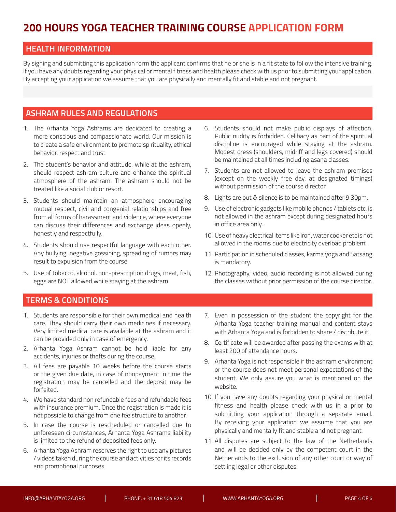# **HEALTH INFORMATION**

By signing and submitting this application form the applicant confirms that he or she is in a fit state to follow the intensive training. If you have any doubts regarding your physical or mental fitness and health please check with us prior to submitting your application. By accepting your application we assume that you are physically and mentally fit and stable and not pregnant.

# **ASHRAM RULES AND REGULATIONS**

- 1. The Arhanta Yoga Ashrams are dedicated to creating a more conscious and compassionate world. Our mission is to create a safe environment to promote spirituality, ethical behavior, respect and trust.
- 2. The student's behavior and attitude, while at the ashram, should respect ashram culture and enhance the spiritual atmosphere of the ashram. The ashram should not be treated like a social club or resort.
- 3. Students should maintain an atmosphere encouraging mutual respect, civil and congenial relationships and free from all forms of harassment and violence, where everyone can discuss their differences and exchange ideas openly, honestly and respectfully.
- 4. Students should use respectful language with each other. Any bullying, negative gossiping, spreading of rumors may result to expulsion from the course.
- 5. Use of tobacco, alcohol, non-prescription drugs, meat, fish, eggs are NOT allowed while staying at the ashram.
- 6. Students should not make public displays of affection. Public nudity is forbidden. Celibacy as part of the spiritual discipline is encouraged while staying at the ashram. Modest dress (shoulders, midriff and legs covered) should be maintained at all times including asana classes.
- 7. Students are not allowed to leave the ashram premises (except on the weekly free day, at designated timings) without permission of the course director.
- 8. Lights are out & silence is to be maintained after 9:30pm.
- 9. Use of electronic gadgets like mobile phones / tablets etc. is not allowed in the ashram except during designated hours in office area only.
- 10. Use of heavy electrical items like iron, water cooker etc is not allowed in the rooms due to electricity overload problem.
- 11. Participation in scheduled classes, karma yoga and Satsang is mandatory.
- 12. Photography, video, audio recording is not allowed during the classes without prior permission of the course director.

# **TERMS & CONDITIONS**

- 1. Students are responsible for their own medical and health care. They should carry their own medicines if necessary. Very limited medical care is available at the ashram and it can be provided only in case of emergency.
- 2. Arhanta Yoga Ashram cannot be held liable for any accidents, injuries or thefts during the course.
- 3. All fees are payable 10 weeks before the course starts or the given due date, in case of nonpayment in time the registration may be cancelled and the deposit may be forfeited.
- 4. We have standard non refundable fees and refundable fees with insurance premium. Once the registration is made it is not possible to change from one fee structure to another.
- 5. In case the course is rescheduled or cancelled due to unforeseen circumstances, Arhanta Yoga Ashrams liability is limited to the refund of deposited fees only.
- 6. Arhanta Yoga Ashram reserves the right to use any pictures / videos taken during the course and activities for its records and promotional purposes.
- 7. Even in possession of the student the copyright for the Arhanta Yoga teacher training manual and content stays with Arhanta Yoga and is forbidden to share / distribute it.
- 8. Certificate will be awarded after passing the exams with at least 200 of attendance hours.
- 9. Arhanta Yoga is not responsible if the ashram environment or the course does not meet personal expectations of the student. We only assure you what is mentioned on the website.
- 10. If you have any doubts regarding your physical or mental fitness and health please check with us in a prior to submitting your application through a separate email. By receiving your application we assume that you are physically and mentally fit and stable and not pregnant.
- 11. All disputes are subject to the law of the Netherlands and will be decided only by the competent court in the Netherlands to the exclusion of any other court or way of settling legal or other disputes.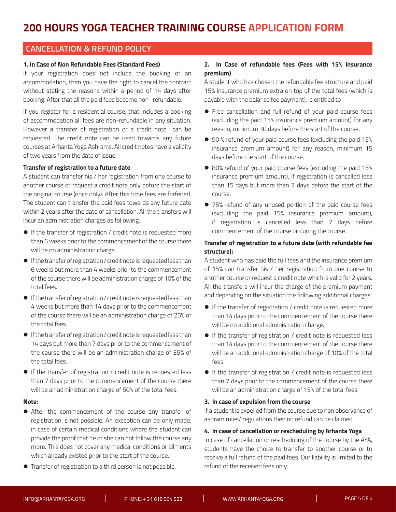# **CANCELLATION & REFUND POLICY**

#### **1. In Case of Non Refundable Fees (Standard Fees)**

If your registration does not include the booking of an accommodation, then you have the right to cancel the contract without stating the reasons within a period of 14 days after booking. After that all the paid fees become non- refundable.

If you register for a residential course, that includes a booking of accommodation all fees are non-refundable in any situation. However a transfer of registration or a credit note can be requested. The credit note can be used towards any future courses at Arhanta Yoga Ashrams. All credit notes have a validity of two years from the date of issue.

#### **Transfer of registration to a future date**

A student can transfer his / her registration from one course to another course or request a credit note only before the start of the original course (once only). After this time fees are forfeited. The student can transfer the paid fees towards any future date within 2 years after the date of cancellation. All the transfers will incur an administration charges as following:

- If the transfer of registration / credit note is requested more than 6 weeks prior to the commencement of the course there will be no administration charge.
- **•** If the transfer of registration / credit note is requested less than 6 weeks but more than 4 weeks prior to the commencement of the course there will be administration charge of 10% of the total fees.
- **•** If the transfer of registration / credit note is requested less than 4 weeks but more than 14 days prior to the commencement of the course there will be an administration charge of 25% of the total fees.
- **•** If the transfer of registration / credit note is requested less than 14 days but more than 7 days prior to the commencement of the course there will be an administration charge of 35% of the total fees.
- If the transfer of registration / credit note is requested less than 7 days prior to the commencement of the course there will be an administration charge of 50% of the total fees.

#### **Note:**

- After the commencement of the course any transfer of registration is not possible. An exception can be only made, in case of certain medical conditions where the student can provide the proof that he or she can not follow the course any more. This does not cover any medical conditions or ailments which already existed prior to the start of the course.
- **•** Transfer of registration to a third person is not possible.

#### **2. In Case of refundable fees (Fees with 15% insurance premium)**

A student who has chosen the refundable fee structure and paid 15% insurance premium extra on top of the total fees (which is payable with the balance fee payment), is entitled to

- Free cancellation and full refund of your paid course fees (excluding the paid 15% insurance premium amount) for any reason, minimum 30 days before the start of the course.
- 90 % refund of your paid course fees (excluding the paid 15% insurance premium amount) for any reason, minimum 15 days before the start of the course.
- 80% refund of your paid course fees (excluding the paid 15% insurance premium amount), if registration is cancelled less than 15 days but more than 7 days before the start of the course.
- 75% refund of any unused portion of the paid course fees (excluding the paid 15% insurance premium amount), if registration is cancelled less than 7 days before commencement of the course or during the course.

#### **Transfer of registration to a future date (with refundable fee structure):**

A student who has paid the full fees and the insurance premium of 15% can transfer his / her registration from one course to another course or request a credit note which is valid for 2 years. All the transfers will incur the charge of the premium payment and depending on the situation the following additional charges:

- If the transfer of registration / credit note is requested more than 14 days prior to the commencement of the course there will be no additional administration charge.
- If the transfer of registration / credit note is requested less than 14 days prior to the commencement of the course there will be an additional administration charge of 10% of the total fees.
- If the transfer of registration / credit note is requested less than 7 days prior to the commencement of the course there will be an administration charge of 15% of the total fees.

#### **3. In case of expulsion from the course**

If a student is expelled from the course due to non observance of ashram rules/ regulations then no refund can be claimed.

#### **4. In case of cancellation or rescheduling by Arhanta Yoga**

In case of cancellation or rescheduling of the course by the AYA, students have the choice to transfer to another course or to receive a full refund of the paid fees. Our liability is limited to the refund of the received fees only.